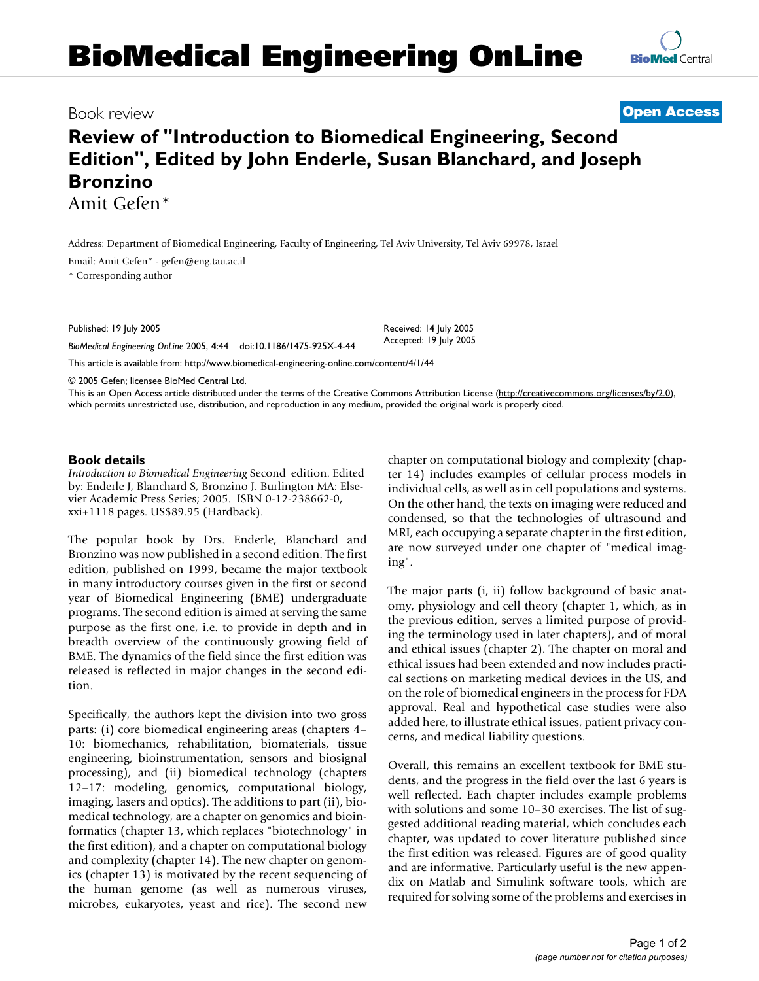**Bronzino** Amit Gefen\*

Book review **[Open Access](http://www.biomedcentral.com/info/about/charter/) Review of "Introduction to Biomedical Engineering, Second Edition", Edited by John Enderle, Susan Blanchard, and Joseph** 

Address: Department of Biomedical Engineering, Faculty of Engineering, Tel Aviv University, Tel Aviv 69978, Israel

Email: Amit Gefen\* - gefen@eng.tau.ac.il

\* Corresponding author

Published: 19 July 2005

*BioMedical Engineering OnLine* 2005, **4**:44 doi:10.1186/1475-925X-4-44

[This article is available from: http://www.biomedical-engineering-online.com/content/4/1/44](http://www.biomedical-engineering-online.com/content/4/1/44)

© 2005 Gefen; licensee BioMed Central Ltd.

This is an Open Access article distributed under the terms of the Creative Commons Attribution License [\(http://creativecommons.org/licenses/by/2.0\)](http://creativecommons.org/licenses/by/2.0), which permits unrestricted use, distribution, and reproduction in any medium, provided the original work is properly cited.

Received: 14 July 2005 Accepted: 19 July 2005

## **Book details**

*Introduction to Biomedical Engineering* Second edition. Edited by: Enderle J, Blanchard S, Bronzino J. Burlington MA: Elsevier Academic Press Series; 2005. ISBN 0-12-238662-0, xxi+1118 pages. US\$89.95 (Hardback).

The popular book by Drs. Enderle, Blanchard and Bronzino was now published in a second edition. The first edition, published on 1999, became the major textbook in many introductory courses given in the first or second year of Biomedical Engineering (BME) undergraduate programs. The second edition is aimed at serving the same purpose as the first one, i.e. to provide in depth and in breadth overview of the continuously growing field of BME. The dynamics of the field since the first edition was released is reflected in major changes in the second edition.

Specifically, the authors kept the division into two gross parts: (i) core biomedical engineering areas (chapters 4– 10: biomechanics, rehabilitation, biomaterials, tissue engineering, bioinstrumentation, sensors and biosignal processing), and (ii) biomedical technology (chapters 12–17: modeling, genomics, computational biology, imaging, lasers and optics). The additions to part (ii), biomedical technology, are a chapter on genomics and bioinformatics (chapter 13, which replaces "biotechnology" in the first edition), and a chapter on computational biology and complexity (chapter 14). The new chapter on genomics (chapter 13) is motivated by the recent sequencing of the human genome (as well as numerous viruses, microbes, eukaryotes, yeast and rice). The second new chapter on computational biology and complexity (chapter 14) includes examples of cellular process models in individual cells, as well as in cell populations and systems. On the other hand, the texts on imaging were reduced and condensed, so that the technologies of ultrasound and MRI, each occupying a separate chapter in the first edition, are now surveyed under one chapter of "medical imaging".

The major parts (i, ii) follow background of basic anatomy, physiology and cell theory (chapter 1, which, as in the previous edition, serves a limited purpose of providing the terminology used in later chapters), and of moral and ethical issues (chapter 2). The chapter on moral and ethical issues had been extended and now includes practical sections on marketing medical devices in the US, and on the role of biomedical engineers in the process for FDA approval. Real and hypothetical case studies were also added here, to illustrate ethical issues, patient privacy concerns, and medical liability questions.

Overall, this remains an excellent textbook for BME students, and the progress in the field over the last 6 years is well reflected. Each chapter includes example problems with solutions and some 10–30 exercises. The list of suggested additional reading material, which concludes each chapter, was updated to cover literature published since the first edition was released. Figures are of good quality and are informative. Particularly useful is the new appendix on Matlab and Simulink software tools, which are required for solving some of the problems and exercises in